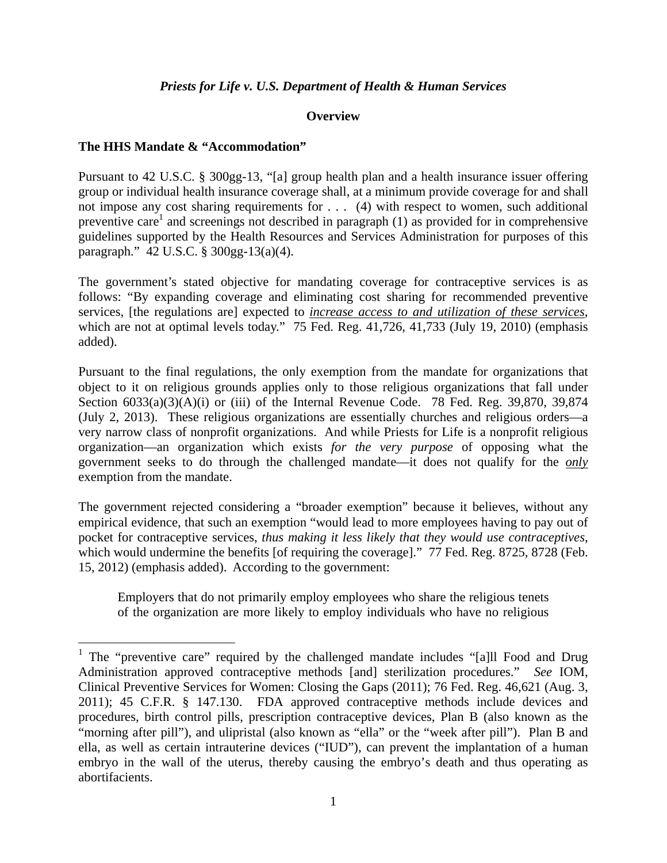#### *Priests for Life v. U.S. Department of Health & Human Services*

#### **Overview**

#### **The HHS Mandate & "Accommodation"**

1

Pursuant to 42 U.S.C. § 300gg-13, "[a] group health plan and a health insurance issuer offering group or individual health insurance coverage shall, at a minimum provide coverage for and shall not impose any cost sharing requirements for . . . (4) with respect to women, such additional preventive care<sup>1</sup> and screenings not described in paragraph  $(1)$  as provided for in comprehensive guidelines supported by the Health Resources and Services Administration for purposes of this paragraph." 42 U.S.C. § 300gg-13(a)(4).

The government's stated objective for mandating coverage for contraceptive services is as follows: "By expanding coverage and eliminating cost sharing for recommended preventive services, [the regulations are] expected to *increase access to and utilization of these services*, which are not at optimal levels today." 75 Fed. Reg. 41,726, 41,733 (July 19, 2010) (emphasis added).

Pursuant to the final regulations, the only exemption from the mandate for organizations that object to it on religious grounds applies only to those religious organizations that fall under Section  $6033(a)(3)(A)(i)$  or (iii) of the Internal Revenue Code. 78 Fed. Reg. 39,870, 39,874 (July 2, 2013). These religious organizations are essentially churches and religious orders—a very narrow class of nonprofit organizations. And while Priests for Life is a nonprofit religious organization—an organization which exists *for the very purpose* of opposing what the government seeks to do through the challenged mandate—it does not qualify for the *only* exemption from the mandate.

The government rejected considering a "broader exemption" because it believes, without any empirical evidence, that such an exemption "would lead to more employees having to pay out of pocket for contraceptive services, *thus making it less likely that they would use contraceptives*, which would undermine the benefits [of requiring the coverage]." 77 Fed. Reg. 8725, 8728 (Feb. 15, 2012) (emphasis added). According to the government:

Employers that do not primarily employ employees who share the religious tenets of the organization are more likely to employ individuals who have no religious

<sup>&</sup>lt;sup>1</sup> The "preventive care" required by the challenged mandate includes "[a]ll Food and Drug Administration approved contraceptive methods [and] sterilization procedures." *See* IOM, Clinical Preventive Services for Women: Closing the Gaps (2011); 76 Fed. Reg. 46,621 (Aug. 3, 2011); 45 C.F.R. § 147.130. FDA approved contraceptive methods include devices and procedures, birth control pills, prescription contraceptive devices, Plan B (also known as the "morning after pill"), and ulipristal (also known as "ella" or the "week after pill"). Plan B and ella, as well as certain intrauterine devices ("IUD"), can prevent the implantation of a human embryo in the wall of the uterus, thereby causing the embryo's death and thus operating as abortifacients.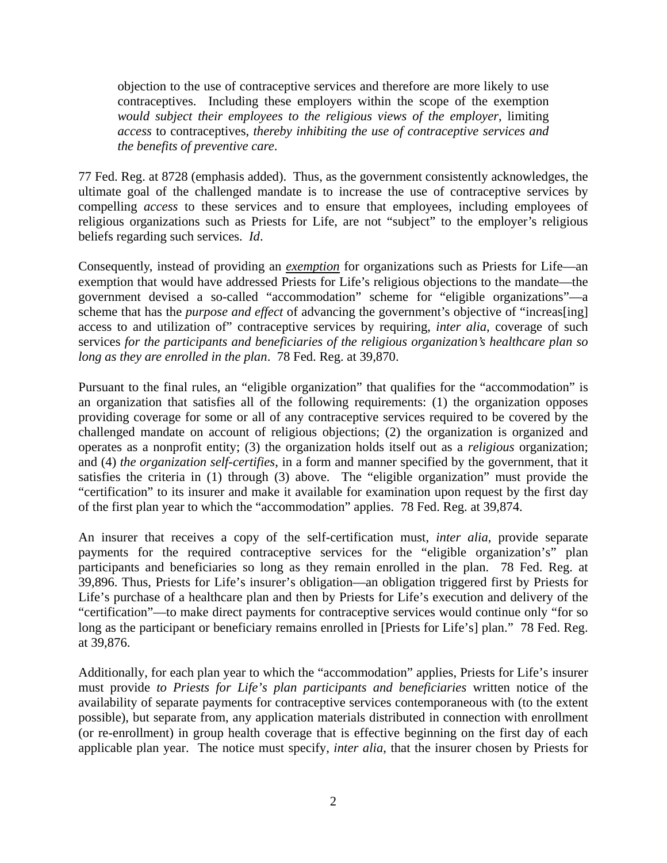objection to the use of contraceptive services and therefore are more likely to use contraceptives. Including these employers within the scope of the exemption *would subject their employees to the religious views of the employer*, limiting *access* to contraceptives, *thereby inhibiting the use of contraceptive services and the benefits of preventive care*.

77 Fed. Reg. at 8728 (emphasis added). Thus, as the government consistently acknowledges, the ultimate goal of the challenged mandate is to increase the use of contraceptive services by compelling *access* to these services and to ensure that employees, including employees of religious organizations such as Priests for Life, are not "subject" to the employer's religious beliefs regarding such services. *Id*.

Consequently, instead of providing an *exemption* for organizations such as Priests for Life—an exemption that would have addressed Priests for Life's religious objections to the mandate—the government devised a so-called "accommodation" scheme for "eligible organizations"—a scheme that has the *purpose and effect* of advancing the government's objective of "increas[ing] access to and utilization of" contraceptive services by requiring, *inter alia*, coverage of such services *for the participants and beneficiaries of the religious organization's healthcare plan so long as they are enrolled in the plan*. 78 Fed. Reg. at 39,870.

Pursuant to the final rules, an "eligible organization" that qualifies for the "accommodation" is an organization that satisfies all of the following requirements: (1) the organization opposes providing coverage for some or all of any contraceptive services required to be covered by the challenged mandate on account of religious objections; (2) the organization is organized and operates as a nonprofit entity; (3) the organization holds itself out as a *religious* organization; and (4) *the organization self-certifies*, in a form and manner specified by the government, that it satisfies the criteria in (1) through (3) above. The "eligible organization" must provide the "certification" to its insurer and make it available for examination upon request by the first day of the first plan year to which the "accommodation" applies. 78 Fed. Reg. at 39,874.

An insurer that receives a copy of the self-certification must, *inter alia*, provide separate payments for the required contraceptive services for the "eligible organization's" plan participants and beneficiaries so long as they remain enrolled in the plan. 78 Fed. Reg. at 39,896. Thus, Priests for Life's insurer's obligation—an obligation triggered first by Priests for Life's purchase of a healthcare plan and then by Priests for Life's execution and delivery of the "certification"—to make direct payments for contraceptive services would continue only "for so long as the participant or beneficiary remains enrolled in [Priests for Life's] plan." 78 Fed. Reg. at 39,876.

Additionally, for each plan year to which the "accommodation" applies, Priests for Life's insurer must provide *to Priests for Life's plan participants and beneficiaries* written notice of the availability of separate payments for contraceptive services contemporaneous with (to the extent possible), but separate from, any application materials distributed in connection with enrollment (or re-enrollment) in group health coverage that is effective beginning on the first day of each applicable plan year. The notice must specify, *inter alia*, that the insurer chosen by Priests for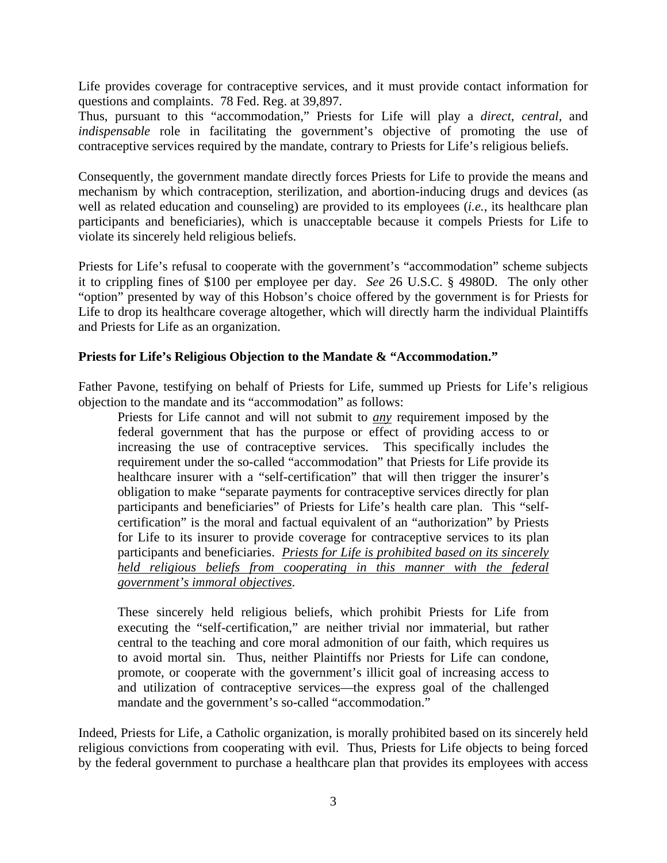Life provides coverage for contraceptive services, and it must provide contact information for questions and complaints. 78 Fed. Reg. at 39,897.

Thus, pursuant to this "accommodation," Priests for Life will play a *direct*, *central,* and *indispensable* role in facilitating the government's objective of promoting the use of contraceptive services required by the mandate, contrary to Priests for Life's religious beliefs.

Consequently, the government mandate directly forces Priests for Life to provide the means and mechanism by which contraception, sterilization, and abortion-inducing drugs and devices (as well as related education and counseling) are provided to its employees (*i.e.*, its healthcare plan participants and beneficiaries), which is unacceptable because it compels Priests for Life to violate its sincerely held religious beliefs.

Priests for Life's refusal to cooperate with the government's "accommodation" scheme subjects it to crippling fines of \$100 per employee per day. *See* 26 U.S.C. § 4980D. The only other "option" presented by way of this Hobson's choice offered by the government is for Priests for Life to drop its healthcare coverage altogether, which will directly harm the individual Plaintiffs and Priests for Life as an organization.

## **Priests for Life's Religious Objection to the Mandate & "Accommodation."**

Father Pavone, testifying on behalf of Priests for Life, summed up Priests for Life's religious objection to the mandate and its "accommodation" as follows:

Priests for Life cannot and will not submit to *any* requirement imposed by the federal government that has the purpose or effect of providing access to or increasing the use of contraceptive services. This specifically includes the requirement under the so-called "accommodation" that Priests for Life provide its healthcare insurer with a "self-certification" that will then trigger the insurer's obligation to make "separate payments for contraceptive services directly for plan participants and beneficiaries" of Priests for Life's health care plan. This "selfcertification" is the moral and factual equivalent of an "authorization" by Priests for Life to its insurer to provide coverage for contraceptive services to its plan participants and beneficiaries. *Priests for Life is prohibited based on its sincerely held religious beliefs from cooperating in this manner with the federal government's immoral objectives*.

These sincerely held religious beliefs, which prohibit Priests for Life from executing the "self-certification," are neither trivial nor immaterial, but rather central to the teaching and core moral admonition of our faith, which requires us to avoid mortal sin. Thus, neither Plaintiffs nor Priests for Life can condone, promote, or cooperate with the government's illicit goal of increasing access to and utilization of contraceptive services—the express goal of the challenged mandate and the government's so-called "accommodation."

Indeed, Priests for Life, a Catholic organization, is morally prohibited based on its sincerely held religious convictions from cooperating with evil. Thus, Priests for Life objects to being forced by the federal government to purchase a healthcare plan that provides its employees with access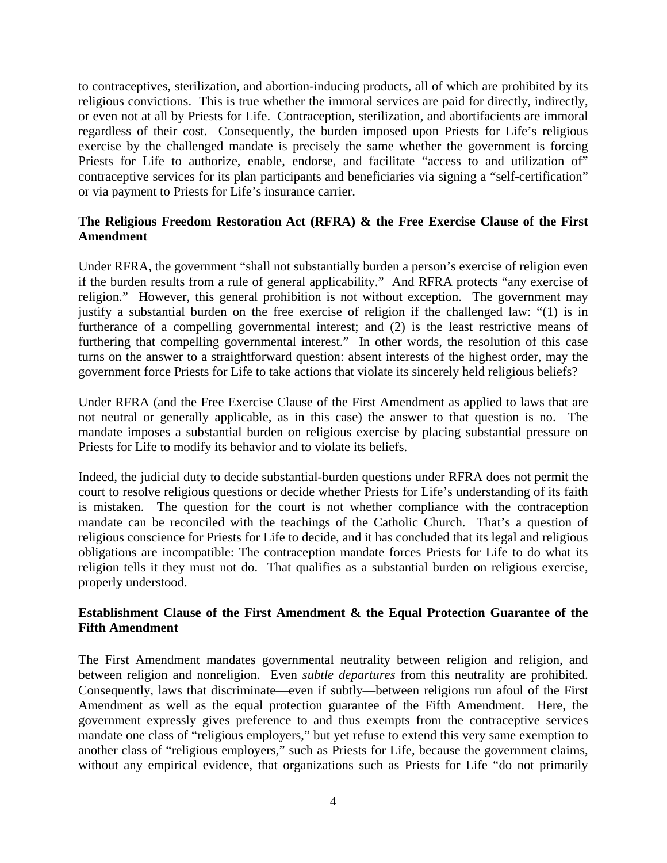to contraceptives, sterilization, and abortion-inducing products, all of which are prohibited by its religious convictions. This is true whether the immoral services are paid for directly, indirectly, or even not at all by Priests for Life. Contraception, sterilization, and abortifacients are immoral regardless of their cost. Consequently, the burden imposed upon Priests for Life's religious exercise by the challenged mandate is precisely the same whether the government is forcing Priests for Life to authorize, enable, endorse, and facilitate "access to and utilization of" contraceptive services for its plan participants and beneficiaries via signing a "self-certification" or via payment to Priests for Life's insurance carrier.

# **The Religious Freedom Restoration Act (RFRA) & the Free Exercise Clause of the First Amendment**

Under RFRA, the government "shall not substantially burden a person's exercise of religion even if the burden results from a rule of general applicability." And RFRA protects "any exercise of religion." However, this general prohibition is not without exception. The government may justify a substantial burden on the free exercise of religion if the challenged law: "(1) is in furtherance of a compelling governmental interest; and (2) is the least restrictive means of furthering that compelling governmental interest." In other words, the resolution of this case turns on the answer to a straightforward question: absent interests of the highest order, may the government force Priests for Life to take actions that violate its sincerely held religious beliefs?

Under RFRA (and the Free Exercise Clause of the First Amendment as applied to laws that are not neutral or generally applicable, as in this case) the answer to that question is no. The mandate imposes a substantial burden on religious exercise by placing substantial pressure on Priests for Life to modify its behavior and to violate its beliefs.

Indeed, the judicial duty to decide substantial-burden questions under RFRA does not permit the court to resolve religious questions or decide whether Priests for Life's understanding of its faith is mistaken. The question for the court is not whether compliance with the contraception mandate can be reconciled with the teachings of the Catholic Church. That's a question of religious conscience for Priests for Life to decide, and it has concluded that its legal and religious obligations are incompatible: The contraception mandate forces Priests for Life to do what its religion tells it they must not do. That qualifies as a substantial burden on religious exercise, properly understood.

## **Establishment Clause of the First Amendment & the Equal Protection Guarantee of the Fifth Amendment**

The First Amendment mandates governmental neutrality between religion and religion, and between religion and nonreligion. Even *subtle departures* from this neutrality are prohibited. Consequently, laws that discriminate—even if subtly—between religions run afoul of the First Amendment as well as the equal protection guarantee of the Fifth Amendment. Here, the government expressly gives preference to and thus exempts from the contraceptive services mandate one class of "religious employers," but yet refuse to extend this very same exemption to another class of "religious employers," such as Priests for Life, because the government claims, without any empirical evidence, that organizations such as Priests for Life "do not primarily